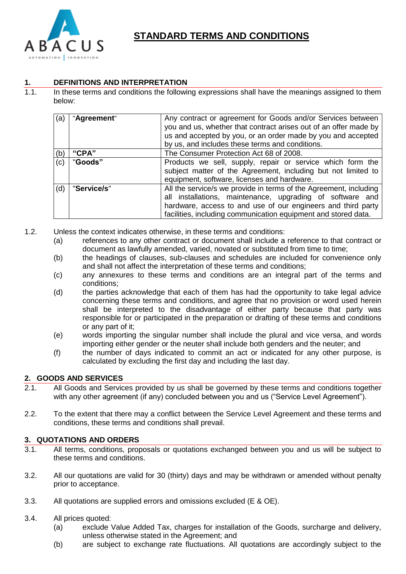

# **STANDARD TERMS AND CONDITIONS**

# **1. DEFINITIONS AND INTERPRETATION**

1.1. In these terms and conditions the following expressions shall have the meanings assigned to them below:

| (a) | "Agreement" | Any contract or agreement for Goods and/or Services between<br>you and us, whether that contract arises out of an offer made by<br>us and accepted by you, or an order made by you and accepted<br>by us, and includes these terms and conditions.               |
|-----|-------------|------------------------------------------------------------------------------------------------------------------------------------------------------------------------------------------------------------------------------------------------------------------|
| (b) | "CPA"       | The Consumer Protection Act 68 of 2008.                                                                                                                                                                                                                          |
| (c) | "Goods"     | Products we sell, supply, repair or service which form the<br>subject matter of the Agreement, including but not limited to<br>equipment, software, licenses and hardware.                                                                                       |
| (d) | "Service/s" | All the service/s we provide in terms of the Agreement, including<br>all installations, maintenance, upgrading of software and<br>hardware, access to and use of our engineers and third party<br>facilities, including communication equipment and stored data. |

- 1.2. Unless the context indicates otherwise, in these terms and conditions:
	- (a) references to any other contract or document shall include a reference to that contract or document as lawfully amended, varied, novated or substituted from time to time;
	- (b) the headings of clauses, sub-clauses and schedules are included for convenience only and shall not affect the interpretation of these terms and conditions;
	- (c) any annexures to these terms and conditions are an integral part of the terms and conditions;
	- (d) the parties acknowledge that each of them has had the opportunity to take legal advice concerning these terms and conditions, and agree that no provision or word used herein shall be interpreted to the disadvantage of either party because that party was responsible for or participated in the preparation or drafting of these terms and conditions or any part of it;
	- (e) words importing the singular number shall include the plural and vice versa, and words importing either gender or the neuter shall include both genders and the neuter; and
	- (f) the number of days indicated to commit an act or indicated for any other purpose, is calculated by excluding the first day and including the last day.

## **2. GOODS AND SERVICES**

- 2.1. All Goods and Services provided by us shall be governed by these terms and conditions together with any other agreement (if any) concluded between you and us ("Service Level Agreement").
- 2.2. To the extent that there may a conflict between the Service Level Agreement and these terms and conditions, these terms and conditions shall prevail.

## **3. QUOTATIONS AND ORDERS**

- 3.1. All terms, conditions, proposals or quotations exchanged between you and us will be subject to these terms and conditions.
- 3.2. All our quotations are valid for 30 (thirty) days and may be withdrawn or amended without penalty prior to acceptance.
- 3.3. All quotations are supplied errors and omissions excluded (E & OE).
- 3.4. All prices quoted:
	- (a) exclude Value Added Tax, charges for installation of the Goods, surcharge and delivery, unless otherwise stated in the Agreement; and
	- (b) are subject to exchange rate fluctuations. All quotations are accordingly subject to the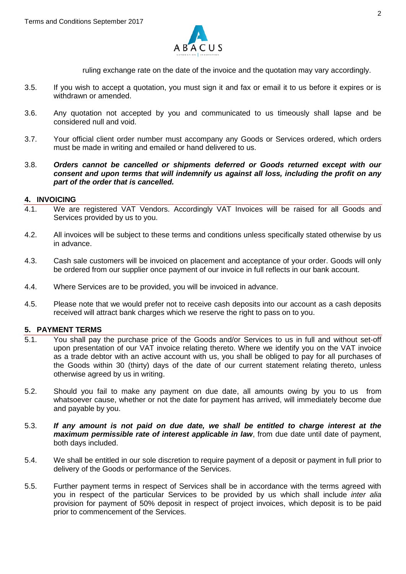

ruling exchange rate on the date of the invoice and the quotation may vary accordingly.

- 3.5. If you wish to accept a quotation, you must sign it and fax or email it to us before it expires or is withdrawn or amended.
- 3.6. Any quotation not accepted by you and communicated to us timeously shall lapse and be considered null and void.
- 3.7. Your official client order number must accompany any Goods or Services ordered, which orders must be made in writing and emailed or hand delivered to us.
- 3.8. *Orders cannot be cancelled or shipments deferred or Goods returned except with our consent and upon terms that will indemnify us against all loss, including the profit on any part of the order that is cancelled.*

#### **4. INVOICING**

- 4.1. We are registered VAT Vendors. Accordingly VAT Invoices will be raised for all Goods and Services provided by us to you.
- 4.2. All invoices will be subject to these terms and conditions unless specifically stated otherwise by us in advance.
- 4.3. Cash sale customers will be invoiced on placement and acceptance of your order. Goods will only be ordered from our supplier once payment of our invoice in full reflects in our bank account.
- 4.4. Where Services are to be provided, you will be invoiced in advance.
- 4.5. Please note that we would prefer not to receive cash deposits into our account as a cash deposits received will attract bank charges which we reserve the right to pass on to you.

## **5. PAYMENT TERMS**

- 5.1. You shall pay the purchase price of the Goods and/or Services to us in full and without set-off upon presentation of our VAT invoice relating thereto. Where we identify you on the VAT invoice as a trade debtor with an active account with us, you shall be obliged to pay for all purchases of the Goods within 30 (thirty) days of the date of our current statement relating thereto, unless otherwise agreed by us in writing.
- 5.2. Should you fail to make any payment on due date, all amounts owing by you to us from whatsoever cause, whether or not the date for payment has arrived, will immediately become due and payable by you.
- 5.3. *If any amount is not paid on due date, we shall be entitled to charge interest at the maximum permissible rate of interest applicable in law*, from due date until date of payment, both days included.
- 5.4. We shall be entitled in our sole discretion to require payment of a deposit or payment in full prior to delivery of the Goods or performance of the Services.
- 5.5. Further payment terms in respect of Services shall be in accordance with the terms agreed with you in respect of the particular Services to be provided by us which shall include *inter alia* provision for payment of 50% deposit in respect of project invoices, which deposit is to be paid prior to commencement of the Services.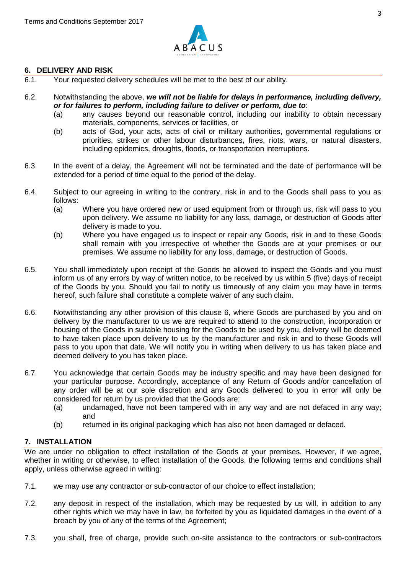

## **6. DELIVERY AND RISK**

- 6.1. Your requested delivery schedules will be met to the best of our ability.
- 6.2. Notwithstanding the above, *we will not be liable for delays in performance, including delivery, or for failures to perform, including failure to deliver or perform, due to*:
	- (a) any causes beyond our reasonable control, including our inability to obtain necessary materials, components, services or facilities, or
	- (b) acts of God, your acts, acts of civil or military authorities, governmental regulations or priorities, strikes or other labour disturbances, fires, riots, wars, or natural disasters, including epidemics, droughts, floods, or transportation interruptions.
- 6.3. In the event of a delay, the Agreement will not be terminated and the date of performance will be extended for a period of time equal to the period of the delay.
- 6.4. Subject to our agreeing in writing to the contrary, risk in and to the Goods shall pass to you as follows:
	- (a) Where you have ordered new or used equipment from or through us, risk will pass to you upon delivery. We assume no liability for any loss, damage, or destruction of Goods after delivery is made to you.
	- (b) Where you have engaged us to inspect or repair any Goods, risk in and to these Goods shall remain with you irrespective of whether the Goods are at your premises or our premises. We assume no liability for any loss, damage, or destruction of Goods.
- 6.5. You shall immediately upon receipt of the Goods be allowed to inspect the Goods and you must inform us of any errors by way of written notice, to be received by us within 5 (five) days of receipt of the Goods by you. Should you fail to notify us timeously of any claim you may have in terms hereof, such failure shall constitute a complete waiver of any such claim.
- 6.6. Notwithstanding any other provision of this clause 6, where Goods are purchased by you and on delivery by the manufacturer to us we are required to attend to the construction, incorporation or housing of the Goods in suitable housing for the Goods to be used by you, delivery will be deemed to have taken place upon delivery to us by the manufacturer and risk in and to these Goods will pass to you upon that date. We will notify you in writing when delivery to us has taken place and deemed delivery to you has taken place.
- 6.7. You acknowledge that certain Goods may be industry specific and may have been designed for your particular purpose. Accordingly, acceptance of any Return of Goods and/or cancellation of any order will be at our sole discretion and any Goods delivered to you in error will only be considered for return by us provided that the Goods are:
	- (a) undamaged, have not been tampered with in any way and are not defaced in any way; and
	- (b) returned in its original packaging which has also not been damaged or defaced.

## **7. INSTALLATION**

We are under no obligation to effect installation of the Goods at your premises. However, if we agree, whether in writing or otherwise, to effect installation of the Goods, the following terms and conditions shall apply, unless otherwise agreed in writing:

- 7.1. we may use any contractor or sub-contractor of our choice to effect installation;
- 7.2. any deposit in respect of the installation, which may be requested by us will, in addition to any other rights which we may have in law, be forfeited by you as liquidated damages in the event of a breach by you of any of the terms of the Agreement;
- 7.3. you shall, free of charge, provide such on-site assistance to the contractors or sub-contractors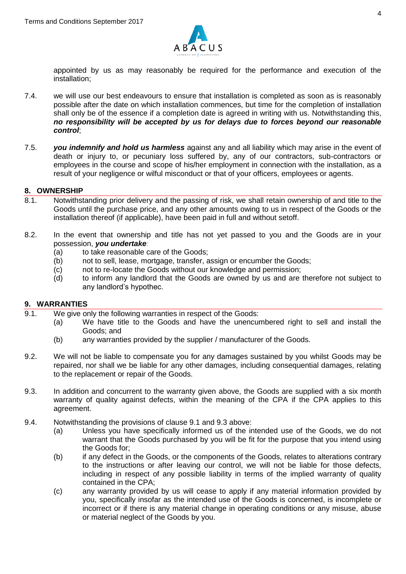

appointed by us as may reasonably be required for the performance and execution of the installation;

- 7.4. we will use our best endeavours to ensure that installation is completed as soon as is reasonably possible after the date on which installation commences, but time for the completion of installation shall only be of the essence if a completion date is agreed in writing with us. Notwithstanding this, *no responsibility will be accepted by us for delays due to forces beyond our reasonable control*;
- 7.5. *you indemnify and hold us harmless* against any and all liability which may arise in the event of death or injury to, or pecuniary loss suffered by, any of our contractors, sub-contractors or employees in the course and scope of his/her employment in connection with the installation, as a result of your negligence or wilful misconduct or that of your officers, employees or agents.

#### **8. OWNERSHIP**

- 8.1. Notwithstanding prior delivery and the passing of risk, we shall retain ownership of and title to the Goods until the purchase price, and any other amounts owing to us in respect of the Goods or the installation thereof (if applicable), have been paid in full and without setoff.
- 8.2. In the event that ownership and title has not yet passed to you and the Goods are in your possession, *you undertake:*
	- (a) to take reasonable care of the Goods;
	- (b) not to sell, lease, mortgage, transfer, assign or encumber the Goods;
	- (c) not to re-locate the Goods without our knowledge and permission;
	- (d) to inform any landlord that the Goods are owned by us and are therefore not subject to any landlord's hypothec.

## **9. WARRANTIES**

- 9.1. We give only the following warranties in respect of the Goods:
	- (a) We have title to the Goods and have the unencumbered right to sell and install the Goods; and
	- (b) any warranties provided by the supplier / manufacturer of the Goods.
- 9.2. We will not be liable to compensate you for any damages sustained by you whilst Goods may be repaired, nor shall we be liable for any other damages, including consequential damages, relating to the replacement or repair of the Goods.
- 9.3. In addition and concurrent to the warranty given above, the Goods are supplied with a six month warranty of quality against defects, within the meaning of the CPA if the CPA applies to this agreement.
- 9.4. Notwithstanding the provisions of clause 9.1 and 9.3 above:
	- (a) Unless you have specifically informed us of the intended use of the Goods, we do not warrant that the Goods purchased by you will be fit for the purpose that you intend using the Goods for;
	- (b) if any defect in the Goods, or the components of the Goods, relates to alterations contrary to the instructions or after leaving our control, we will not be liable for those defects, including in respect of any possible liability in terms of the implied warranty of quality contained in the CPA;
	- (c) any warranty provided by us will cease to apply if any material information provided by you, specifically insofar as the intended use of the Goods is concerned, is incomplete or incorrect or if there is any material change in operating conditions or any misuse, abuse or material neglect of the Goods by you.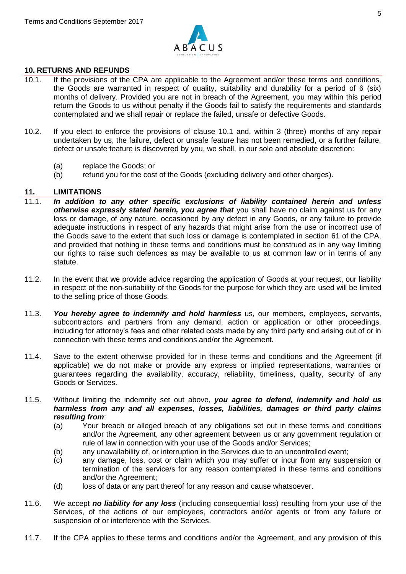

### **10. RETURNS AND REFUNDS**

- 10.1. If the provisions of the CPA are applicable to the Agreement and/or these terms and conditions, the Goods are warranted in respect of quality, suitability and durability for a period of 6 (six) months of delivery. Provided you are not in breach of the Agreement, you may within this period return the Goods to us without penalty if the Goods fail to satisfy the requirements and standards contemplated and we shall repair or replace the failed, unsafe or defective Goods.
- 10.2. If you elect to enforce the provisions of clause 10.1 and, within 3 (three) months of any repair undertaken by us, the failure, defect or unsafe feature has not been remedied, or a further failure, defect or unsafe feature is discovered by you, we shall, in our sole and absolute discretion:
	- (a) replace the Goods; or
	- (b) refund you for the cost of the Goods (excluding delivery and other charges).

## **11. LIMITATIONS**

- 11.1. *In addition to any other specific exclusions of liability contained herein and unless*  otherwise expressly stated herein, you agree that you shall have no claim against us for any loss or damage, of any nature, occasioned by any defect in any Goods, or any failure to provide adequate instructions in respect of any hazards that might arise from the use or incorrect use of the Goods save to the extent that such loss or damage is contemplated in section 61 of the CPA, and provided that nothing in these terms and conditions must be construed as in any way limiting our rights to raise such defences as may be available to us at common law or in terms of any statute.
- 11.2. In the event that we provide advice regarding the application of Goods at your request, our liability in respect of the non-suitability of the Goods for the purpose for which they are used will be limited to the selling price of those Goods.
- 11.3. *You hereby agree to indemnify and hold harmless* us, our members, employees, servants, subcontractors and partners from any demand, action or application or other proceedings, including for attorney's fees and other related costs made by any third party and arising out of or in connection with these terms and conditions and/or the Agreement.
- 11.4. Save to the extent otherwise provided for in these terms and conditions and the Agreement (if applicable) we do not make or provide any express or implied representations, warranties or guarantees regarding the availability, accuracy, reliability, timeliness, quality, security of any Goods or Services.
- 11.5. Without limiting the indemnity set out above, *you agree to defend, indemnify and hold us harmless from any and all expenses, losses, liabilities, damages or third party claims resulting from*:
	- (a) Your breach or alleged breach of any obligations set out in these terms and conditions and/or the Agreement, any other agreement between us or any government regulation or rule of law in connection with your use of the Goods and/or Services;
	- (b) any unavailability of, or interruption in the Services due to an uncontrolled event;
	- (c) any damage, loss, cost or claim which you may suffer or incur from any suspension or termination of the service/s for any reason contemplated in these terms and conditions and/or the Agreement;
	- (d) loss of data or any part thereof for any reason and cause whatsoever.
- 11.6. We accept *no liability for any loss* (including consequential loss) resulting from your use of the Services, of the actions of our employees, contractors and/or agents or from any failure or suspension of or interference with the Services.
- 11.7. If the CPA applies to these terms and conditions and/or the Agreement, and any provision of this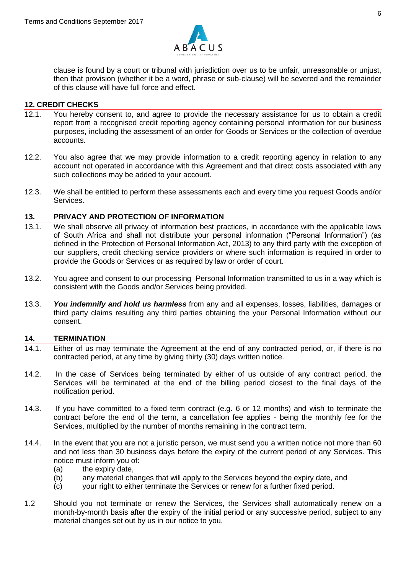

clause is found by a court or tribunal with jurisdiction over us to be unfair, unreasonable or unjust, then that provision (whether it be a word, phrase or sub-clause) will be severed and the remainder of this clause will have full force and effect.

#### **12. CREDIT CHECKS**

- 12.1. You hereby consent to, and agree to provide the necessary assistance for us to obtain a credit report from a recognised credit reporting agency containing personal information for our business purposes, including the assessment of an order for Goods or Services or the collection of overdue accounts.
- 12.2. You also agree that we may provide information to a credit reporting agency in relation to any account not operated in accordance with this Agreement and that direct costs associated with any such collections may be added to your account.
- 12.3. We shall be entitled to perform these assessments each and every time you request Goods and/or Services.

## **13. PRIVACY AND PROTECTION OF INFORMATION**

- 13.1. We shall observe all privacy of information best practices, in accordance with the applicable laws of South Africa and shall not distribute your personal information ("Personal Information") (as defined in the Protection of Personal Information Act, 2013) to any third party with the exception of our suppliers, credit checking service providers or where such information is required in order to provide the Goods or Services or as required by law or order of court.
- 13.2. You agree and consent to our processing Personal Information transmitted to us in a way which is consistent with the Goods and/or Services being provided.
- 13.3. *You indemnify and hold us harmless* from any and all expenses, losses, liabilities, damages or third party claims resulting any third parties obtaining the your Personal Information without our consent.

#### **14. TERMINATION**

- 14.1. Either of us may terminate the Agreement at the end of any contracted period, or, if there is no contracted period, at any time by giving thirty (30) days written notice.
- 14.2. In the case of Services being terminated by either of us outside of any contract period, the Services will be terminated at the end of the billing period closest to the final days of the notification period.
- 14.3. If you have committed to a fixed term contract (e.g. 6 or 12 months) and wish to terminate the contract before the end of the term, a cancellation fee applies - being the monthly fee for the Services, multiplied by the number of months remaining in the contract term.
- 14.4. In the event that you are not a juristic person, we must send you a written notice not more than 60 and not less than 30 business days before the expiry of the current period of any Services. This notice must inform you of:
	- (a) the expiry date,
	- (b) any material changes that will apply to the Services beyond the expiry date, and
	- (c) your right to either terminate the Services or renew for a further fixed period.
- 1.2 Should you not terminate or renew the Services, the Services shall automatically renew on a month-by-month basis after the expiry of the initial period or any successive period, subject to any material changes set out by us in our notice to you.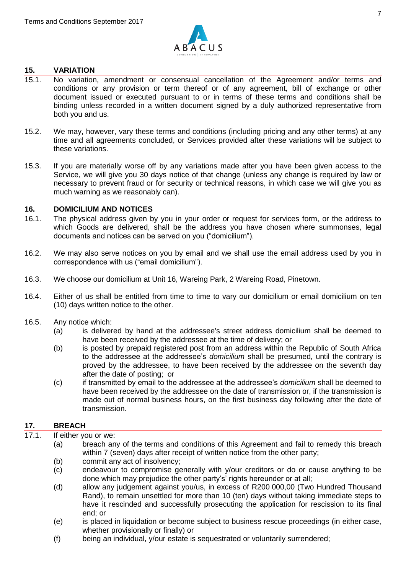

## **15. VARIATION**

- 15.1. No variation, amendment or consensual cancellation of the Agreement and/or terms and conditions or any provision or term thereof or of any agreement, bill of exchange or other document issued or executed pursuant to or in terms of these terms and conditions shall be binding unless recorded in a written document signed by a duly authorized representative from both you and us.
- 15.2. We may, however, vary these terms and conditions (including pricing and any other terms) at any time and all agreements concluded, or Services provided after these variations will be subject to these variations.
- 15.3. If you are materially worse off by any variations made after you have been given access to the Service, we will give you 30 days notice of that change (unless any change is required by law or necessary to prevent fraud or for security or technical reasons, in which case we will give you as much warning as we reasonably can).

#### **16. DOMICILIUM AND NOTICES**

- 16.1. The physical address given by you in your order or request for services form, or the address to which Goods are delivered, shall be the address you have chosen where summonses, legal documents and notices can be served on you ("domicilium").
- 16.2. We may also serve notices on you by email and we shall use the email address used by you in correspondence with us ("email domicilium").
- 16.3. We choose our domicilium at Unit 16, Wareing Park, 2 Wareing Road, Pinetown.
- 16.4. Either of us shall be entitled from time to time to vary our domicilium or email domicilium on ten (10) days written notice to the other.
- 16.5. Any notice which:
	- (a) is delivered by hand at the addressee's street address domicilium shall be deemed to have been received by the addressee at the time of delivery; or
	- (b) is posted by prepaid registered post from an address within the Republic of South Africa to the addressee at the addressee's *domicilium* shall be presumed, until the contrary is proved by the addressee, to have been received by the addressee on the seventh day after the date of posting; or
	- (c) if transmitted by email to the addressee at the addressee's *domicilium* shall be deemed to have been received by the addressee on the date of transmission or, if the transmission is made out of normal business hours, on the first business day following after the date of transmission.

## **17. BREACH**

## 17.1. If either you or we:

- (a) breach any of the terms and conditions of this Agreement and fail to remedy this breach within 7 (seven) days after receipt of written notice from the other party;
- (b) commit any act of insolvency;
- (c) endeavour to compromise generally with y/our creditors or do or cause anything to be done which may prejudice the other party's' rights hereunder or at all;
- (d) allow any judgement against you/us, in excess of R200 000,00 (Two Hundred Thousand Rand), to remain unsettled for more than 10 (ten) days without taking immediate steps to have it rescinded and successfully prosecuting the application for rescission to its final end; or
- (e) is placed in liquidation or become subject to business rescue proceedings (in either case, whether provisionally or finally) or
- (f) being an individual, y/our estate is sequestrated or voluntarily surrendered;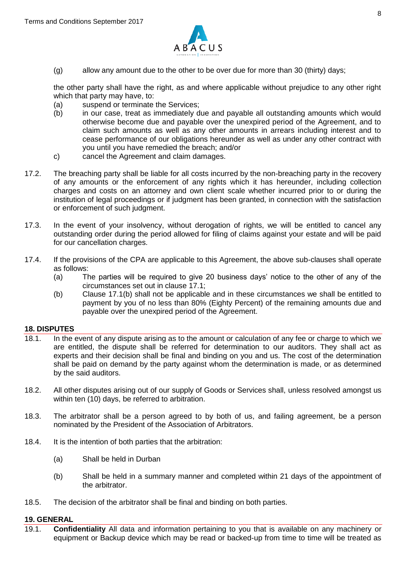

(g) allow any amount due to the other to be over due for more than 30 (thirty) days;

the other party shall have the right, as and where applicable without prejudice to any other right which that party may have, to:

- (a) suspend or terminate the Services;
- (b) in our case, treat as immediately due and payable all outstanding amounts which would otherwise become due and payable over the unexpired period of the Agreement, and to claim such amounts as well as any other amounts in arrears including interest and to cease performance of our obligations hereunder as well as under any other contract with you until you have remedied the breach; and/or
- c) cancel the Agreement and claim damages.
- 17.2. The breaching party shall be liable for all costs incurred by the non-breaching party in the recovery of any amounts or the enforcement of any rights which it has hereunder, including collection charges and costs on an attorney and own client scale whether incurred prior to or during the institution of legal proceedings or if judgment has been granted, in connection with the satisfaction or enforcement of such judgment.
- 17.3. In the event of your insolvency, without derogation of rights, we will be entitled to cancel any outstanding order during the period allowed for filing of claims against your estate and will be paid for our cancellation charges.
- 17.4. If the provisions of the CPA are applicable to this Agreement, the above sub-clauses shall operate as follows:
	- (a) The parties will be required to give 20 business days' notice to the other of any of the circumstances set out in clause 17.1;
	- (b) Clause 17.1(b) shall not be applicable and in these circumstances we shall be entitled to payment by you of no less than 80% (Eighty Percent) of the remaining amounts due and payable over the unexpired period of the Agreement.

#### **18. DISPUTES**

- 18.1. In the event of any dispute arising as to the amount or calculation of any fee or charge to which we are entitled, the dispute shall be referred for determination to our auditors. They shall act as experts and their decision shall be final and binding on you and us. The cost of the determination shall be paid on demand by the party against whom the determination is made, or as determined by the said auditors.
- 18.2. All other disputes arising out of our supply of Goods or Services shall, unless resolved amongst us within ten (10) days, be referred to arbitration.
- 18.3. The arbitrator shall be a person agreed to by both of us, and failing agreement, be a person nominated by the President of the Association of Arbitrators.
- 18.4. It is the intention of both parties that the arbitration:
	- (a) Shall be held in Durban
	- (b) Shall be held in a summary manner and completed within 21 days of the appointment of the arbitrator.
- 18.5. The decision of the arbitrator shall be final and binding on both parties.

#### **19. GENERAL**

19.1. **Confidentiality** All data and information pertaining to you that is available on any machinery or equipment or Backup device which may be read or backed-up from time to time will be treated as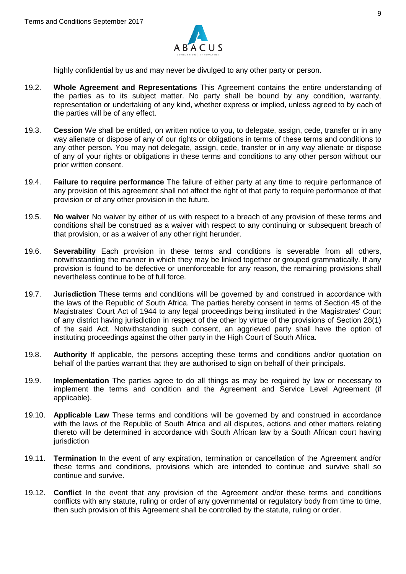

highly confidential by us and may never be divulged to any other party or person.

- 19.2. **Whole Agreement and Representations** This Agreement contains the entire understanding of the parties as to its subject matter. No party shall be bound by any condition, warranty, representation or undertaking of any kind, whether express or implied, unless agreed to by each of the parties will be of any effect.
- 19.3. **Cession** We shall be entitled, on written notice to you, to delegate, assign, cede, transfer or in any way alienate or dispose of any of our rights or obligations in terms of these terms and conditions to any other person. You may not delegate, assign, cede, transfer or in any way alienate or dispose of any of your rights or obligations in these terms and conditions to any other person without our prior written consent.
- 19.4. **Failure to require performance** The failure of either party at any time to require performance of any provision of this agreement shall not affect the right of that party to require performance of that provision or of any other provision in the future.
- 19.5. **No waiver** No waiver by either of us with respect to a breach of any provision of these terms and conditions shall be construed as a waiver with respect to any continuing or subsequent breach of that provision, or as a waiver of any other right herunder.
- 19.6. **Severability** Each provision in these terms and conditions is severable from all others, notwithstanding the manner in which they may be linked together or grouped grammatically. If any provision is found to be defective or unenforceable for any reason, the remaining provisions shall nevertheless continue to be of full force.
- 19.7. **Jurisdiction** These terms and conditions will be governed by and construed in accordance with the laws of the Republic of South Africa. The parties hereby consent in terms of Section 45 of the Magistrates' Court Act of 1944 to any legal proceedings being instituted in the Magistrates' Court of any district having jurisdiction in respect of the other by virtue of the provisions of Section 28(1) of the said Act. Notwithstanding such consent, an aggrieved party shall have the option of instituting proceedings against the other party in the High Court of South Africa.
- 19.8. **Authority** If applicable, the persons accepting these terms and conditions and/or quotation on behalf of the parties warrant that they are authorised to sign on behalf of their principals.
- 19.9. **Implementation** The parties agree to do all things as may be required by law or necessary to implement the terms and condition and the Agreement and Service Level Agreement (if applicable).
- 19.10. **Applicable Law** These terms and conditions will be governed by and construed in accordance with the laws of the Republic of South Africa and all disputes, actions and other matters relating thereto will be determined in accordance with South African law by a South African court having jurisdiction
- 19.11. **Termination** In the event of any expiration, termination or cancellation of the Agreement and/or these terms and conditions, provisions which are intended to continue and survive shall so continue and survive.
- 19.12. **Conflict** In the event that any provision of the Agreement and/or these terms and conditions conflicts with any statute, ruling or order of any governmental or regulatory body from time to time, then such provision of this Agreement shall be controlled by the statute, ruling or order.